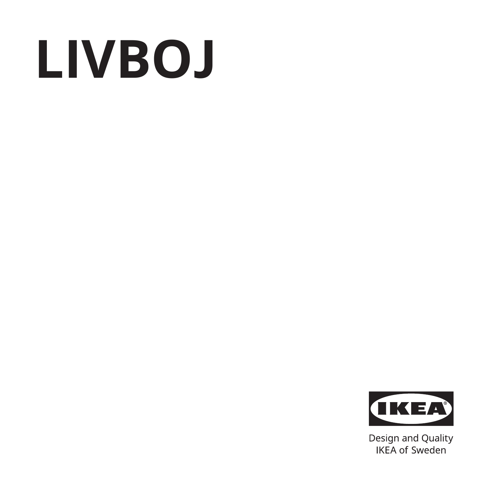# **LIVBOJ**



Design and Quality IKEA of Sweden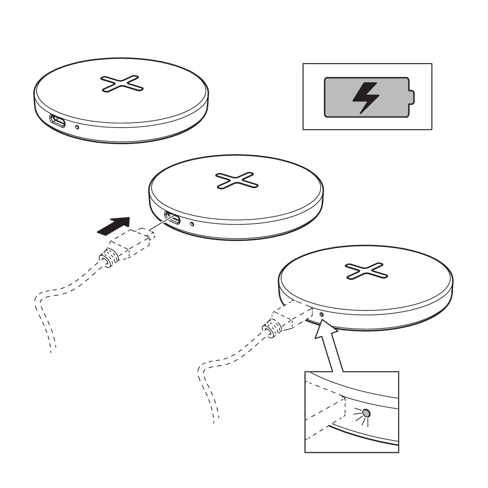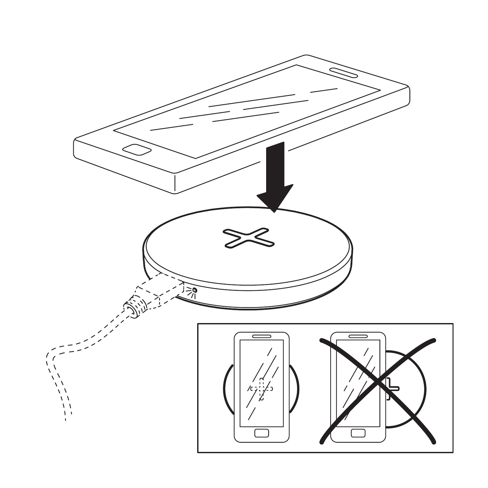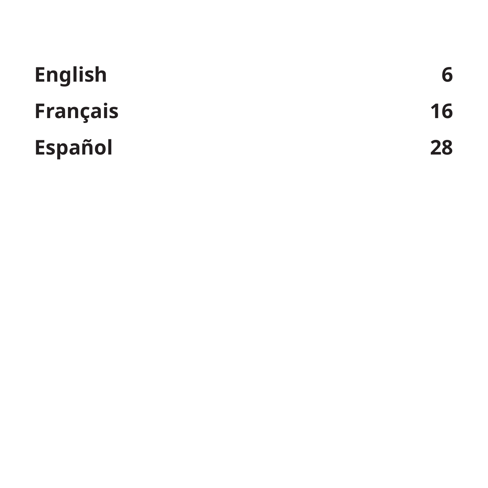| <b>English</b>  | 6  |
|-----------------|----|
| <b>Français</b> | 16 |
| <b>Español</b>  | 28 |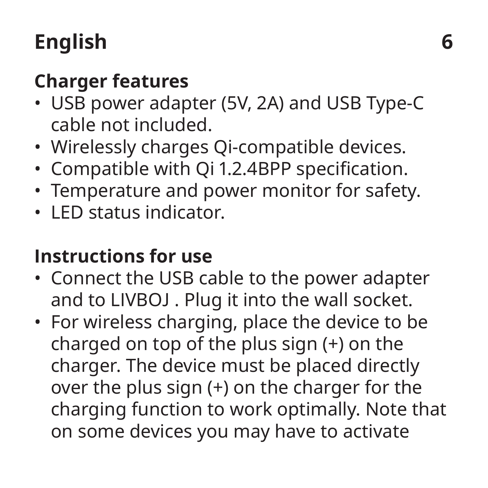### **English 6**

#### **Charger features**

- USB power adapter (5V, 2A) and USB Type-C cable not included.
- Wirelessly charges Qi-compatible devices.
- Compatible with Qi 1.2.4BPP specification.
- Temperature and power monitor for safety.
- LED status indicator.

#### **Instructions for use**

- Connect the USB cable to the power adapter and to LIVBOJ . Plug it into the wall socket.
- For wireless charging, place the device to be charged on top of the plus sign (+) on the charger. The device must be placed directly over the plus sign (+) on the charger for the charging function to work optimally. Note that on some devices you may have to activate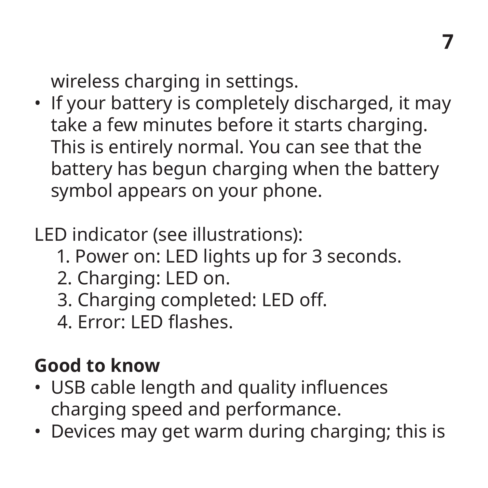**7**

wireless charging in settings.

• If your battery is completely discharged, it may take a few minutes before it starts charging. This is entirely normal. You can see that the battery has begun charging when the battery symbol appears on your phone.

#### LED indicator (see illustrations):

- 1. Power on: LED lights up for 3 seconds.
- 2. Charging: LED on.
- 3. Charging completed: LED off.
- 4. Error: LED flashes.

#### **Good to know**

- USB cable length and quality influences charging speed and performance.
- Devices may get warm during charging; this is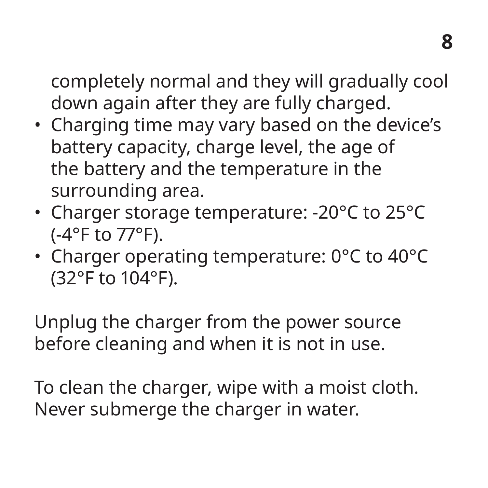completely normal and they will gradually cool down again after they are fully charged.

- Charging time may vary based on the device's battery capacity, charge level, the age of the battery and the temperature in the surrounding area.
- Charger storage temperature: -20°C to 25°C (-4°F to 77°F).
- Charger operating temperature: 0°C to 40°C (32°F to 104°F).

Unplug the charger from the power source before cleaning and when it is not in use.

To clean the charger, wipe with a moist cloth. Never submerge the charger in water.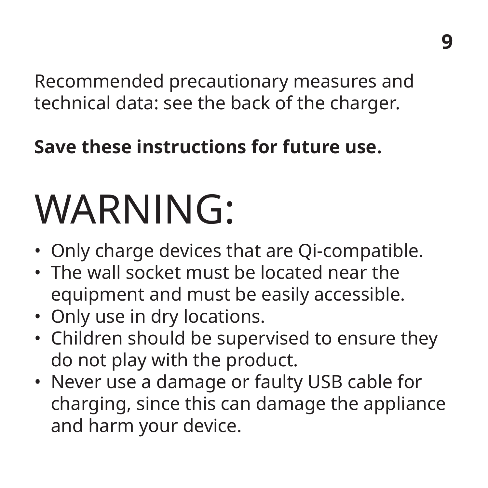Recommended precautionary measures and technical data: see the back of the charger.

#### **Save these instructions for future use.**

### WARNING:

- Only charge devices that are Qi-compatible.
- The wall socket must be located near the equipment and must be easily accessible.
- Only use in dry locations.
- Children should be supervised to ensure they do not play with the product.
- Never use a damage or faulty USB cable for charging, since this can damage the appliance and harm your device.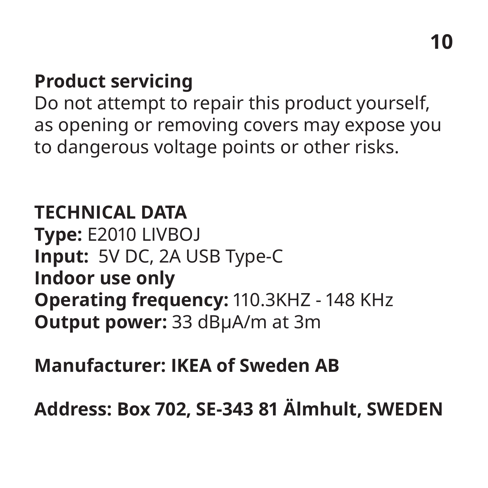#### **Product servicing**

Do not attempt to repair this product yourself, as opening or removing covers may expose you to dangerous voltage points or other risks.

#### **TECHNICAL DATA**

**Type:** E2010 LIVBOJ **Input:** 5V DC, 2A USB Type-C **Indoor use only Operating frequency:** 110.3KHZ - 148 KHz **Output power:** 33 dBµA/m at 3m

**Manufacturer: IKEA of Sweden AB**

**Address: Box 702, SE-343 81 Älmhult, SWEDEN**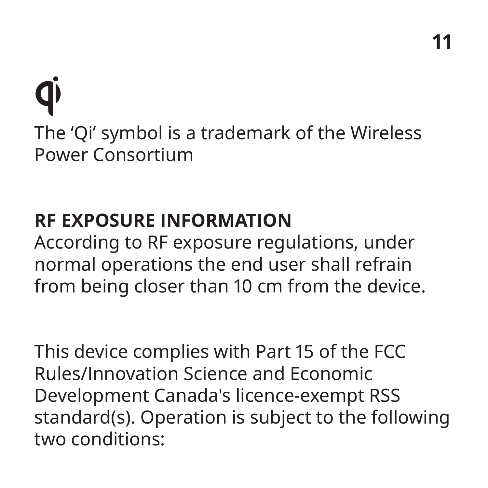### The 'Qi' symbol is a trademark of the Wireless Power Consortium

#### **RF EXPOSURE INFORMATION**

According to RF exposure regulations, under normal operations the end user shall refrain from being closer than 10 cm from the device.

This device complies with Part 15 of the FCC Rules/Innovation Science and Economic Development Canada's licence-exempt RSS standard(s). Operation is subject to the following two conditions: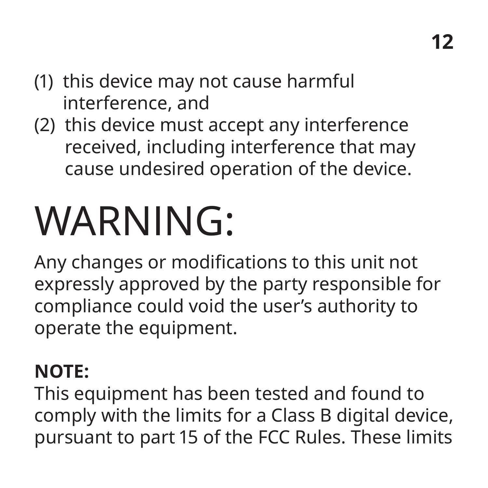- (1) this device may not cause harmful interference, and
- (2) this device must accept any interference received, including interference that may cause undesired operation of the device.

### WARNING:

Any changes or modifications to this unit not expressly approved by the party responsible for compliance could void the user's authority to operate the equipment.

#### **NOTE:**

This equipment has been tested and found to comply with the limits for a Class B digital device, pursuant to part 15 of the FCC Rules. These limits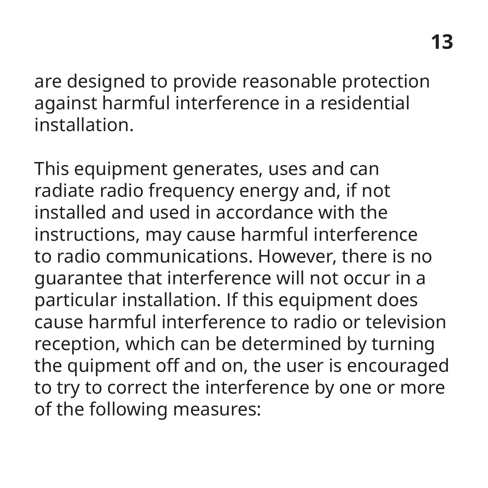are designed to provide reasonable protection against harmful interference in a residential installation.

This equipment generates, uses and can radiate radio frequency energy and, if not installed and used in accordance with the instructions, may cause harmful interference to radio communications. However, there is no guarantee that interference will not occur in a particular installation. If this equipment does cause harmful interference to radio or television reception, which can be determined by turning the quipment off and on, the user is encouraged to try to correct the interference by one or more of the following measures: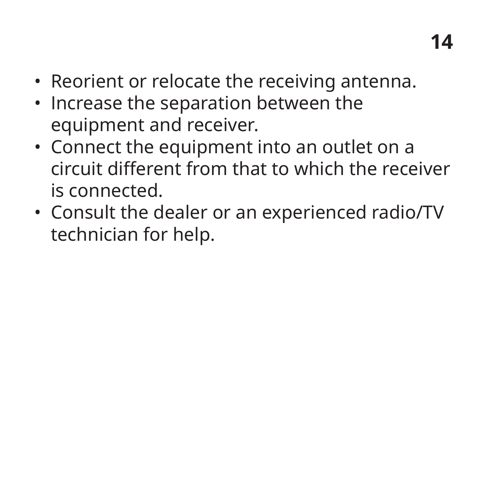- Reorient or relocate the receiving antenna.
- Increase the separation between the equipment and receiver.
- Connect the equipment into an outlet on a circuit different from that to which the receiver is connected.
- Consult the dealer or an experienced radio/TV technician for help.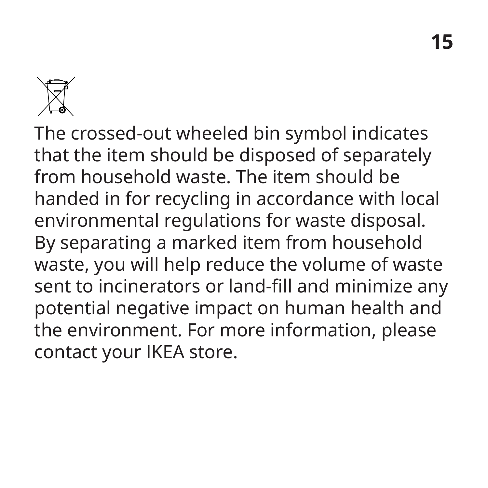

The crossed-out wheeled bin symbol indicates that the item should be disposed of separately from household waste. The item should be handed in for recycling in accordance with local environmental regulations for waste disposal. By separating a marked item from household waste, you will help reduce the volume of waste sent to incinerators or land-fill and minimize any potential negative impact on human health and the environment. For more information, please contact your IKEA store.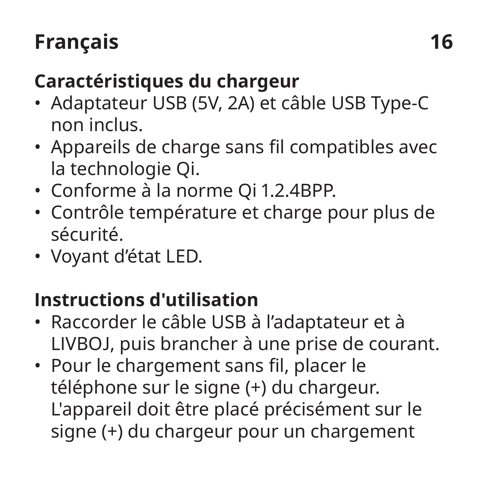### **Français 16**

#### **Caractéristiques du chargeur**

- Adaptateur USB (5V, 2A) et câble USB Type-C non inclus.
- Appareils de charge sans fil compatibles avec la technologie Qi.
- Conforme à la norme Qi 1.2.4BPP.
- Contrôle température et charge pour plus de sécurité.
- Voyant d'état LED.

#### **Instructions d'utilisation**

- Raccorder le câble USB à l'adaptateur et à LIVBOJ, puis brancher à une prise de courant.
- Pour le chargement sans fil, placer le téléphone sur le signe (+) du chargeur. L'appareil doit être placé précisément sur le signe (+) du chargeur pour un chargement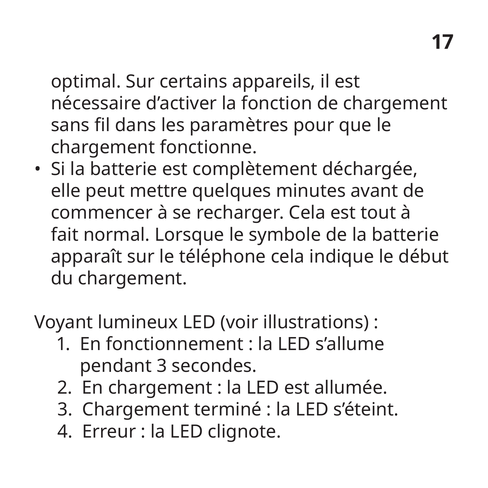optimal. Sur certains appareils, il est nécessaire d'activer la fonction de chargement sans fil dans les paramètres pour que le chargement fonctionne.

- Si la batterie est complètement déchargée, elle peut mettre quelques minutes avant de commencer à se recharger. Cela est tout à fait normal. Lorsque le symbole de la batterie apparaît sur le téléphone cela indique le début du chargement.
- Voyant lumineux LED (voir illustrations) :
	- 1. En fonctionnement : la LED s'allume pendant 3 secondes.
	- 2. En chargement : la LED est allumée.
	- 3. Chargement terminé : la LED s'éteint.
	- 4. Erreur : la LED clignote.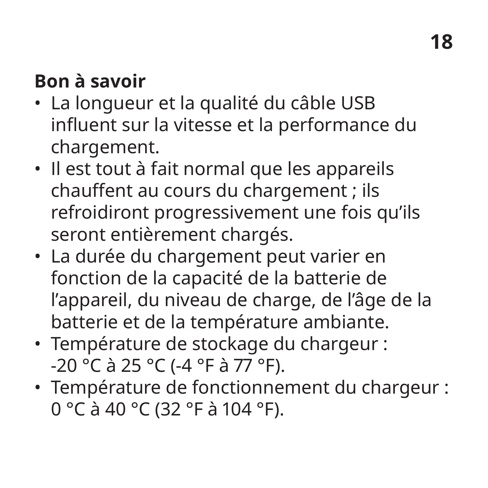#### **Bon à savoir**

- La longueur et la qualité du câble USB influent sur la vitesse et la performance du chargement.
- Il est tout à fait normal que les appareils chauffent au cours du chargement ; ils refroidiront progressivement une fois qu'ils seront entièrement chargés.
- La durée du chargement peut varier en fonction de la capacité de la batterie de l'appareil, du niveau de charge, de l'âge de la batterie et de la température ambiante.
- Température de stockage du chargeur : -20 °C à 25 °C (-4 °F à 77 °F).
- Température de fonctionnement du chargeur : 0 °C à 40 °C (32 °F à 104 °F).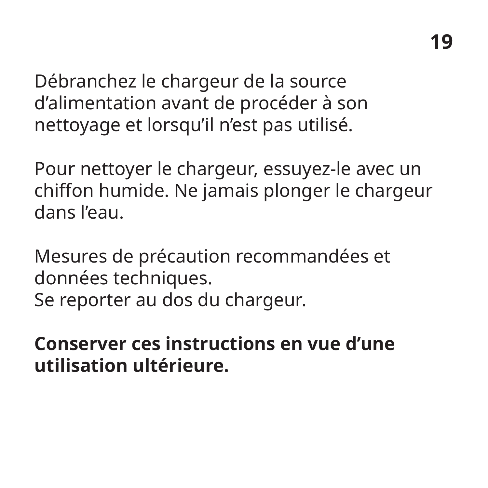Débranchez le chargeur de la source d'alimentation avant de procéder à son nettoyage et lorsqu'il n'est pas utilisé.

Pour nettoyer le chargeur, essuyez-le avec un chiffon humide. Ne jamais plonger le chargeur dans l'eau.

Mesures de précaution recommandées et données techniques. Se reporter au dos du chargeur.

**Conserver ces instructions en vue d'une utilisation ultérieure.**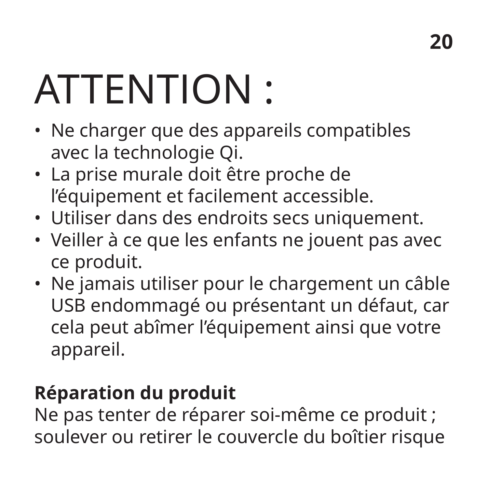### ATTENTION :

- Ne charger que des appareils compatibles avec la technologie Qi.
- La prise murale doit être proche de l'équipement et facilement accessible.
- Utiliser dans des endroits secs uniquement.
- Veiller à ce que les enfants ne jouent pas avec ce produit.
- Ne jamais utiliser pour le chargement un câble USB endommagé ou présentant un défaut, car cela peut abîmer l'équipement ainsi que votre appareil.

#### **Réparation du produit**

Ne pas tenter de réparer soi-même ce produit ; soulever ou retirer le couvercle du boîtier risque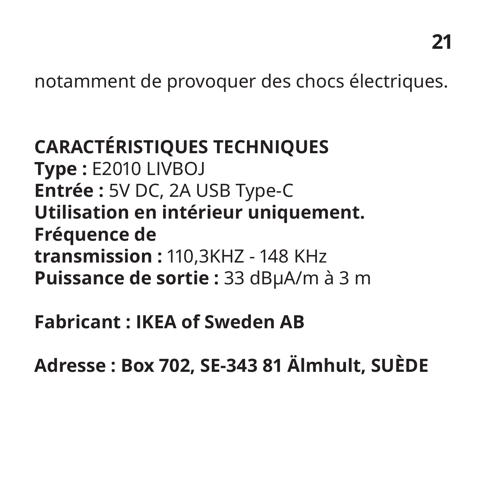notamment de provoquer des chocs électriques.

#### **CARACTÉRISTIQUES TECHNIQUES Type :** E2010 LIVBOJ **Entrée :** 5V DC, 2A USB Type-C **Utilisation en intérieur uniquement. Fréquence de transmission :** 110,3KHZ - 148 KHz **Puissance de sortie :** 33 dBµA/m à 3 m

**Fabricant : IKEA of Sweden AB**

**Adresse : Box 702, SE-343 81 Älmhult, SUÈDE**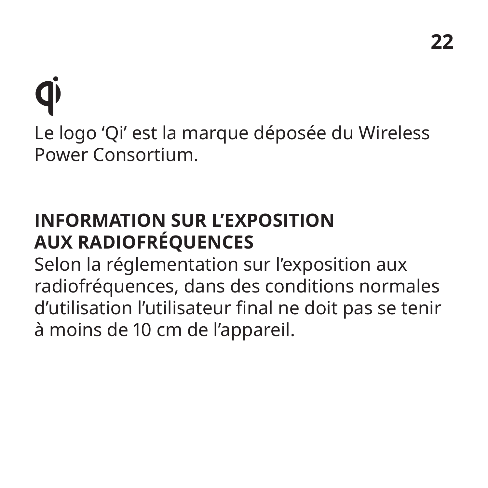## Le logo 'Qi' est la marque déposée du Wireless Power Consortium.

#### **INFORMATION SUR L'EXPOSITION AUX RADIOFRÉQUENCES**

Selon la réglementation sur l'exposition aux radiofréquences, dans des conditions normales d'utilisation l'utilisateur final ne doit pas se tenir à moins de 10 cm de l'appareil.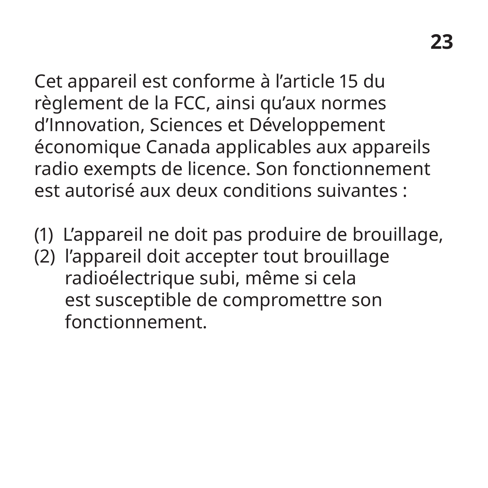Cet appareil est conforme à l'article 15 du règlement de la FCC, ainsi qu'aux normes d'Innovation, Sciences et Développement économique Canada applicables aux appareils radio exempts de licence. Son fonctionnement est autorisé aux deux conditions suivantes :

(1) L'appareil ne doit pas produire de brouillage, (2) l'appareil doit accepter tout brouillage radioélectrique subi, même si cela est susceptible de compromettre son fonctionnement.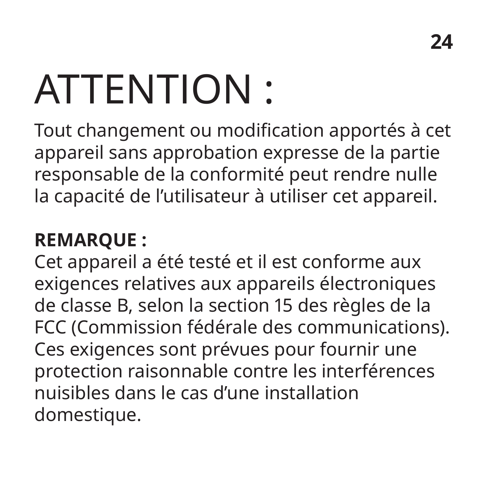### ATTENTION :

Tout changement ou modification apportés à cet appareil sans approbation expresse de la partie responsable de la conformité peut rendre nulle la capacité de l'utilisateur à utiliser cet appareil.

#### **REMARQUE :**

Cet appareil a été testé et il est conforme aux exigences relatives aux appareils électroniques de classe B, selon la section 15 des règles de la FCC (Commission fédérale des communications). Ces exigences sont prévues pour fournir une protection raisonnable contre les interférences nuisibles dans le cas d'une installation domestique.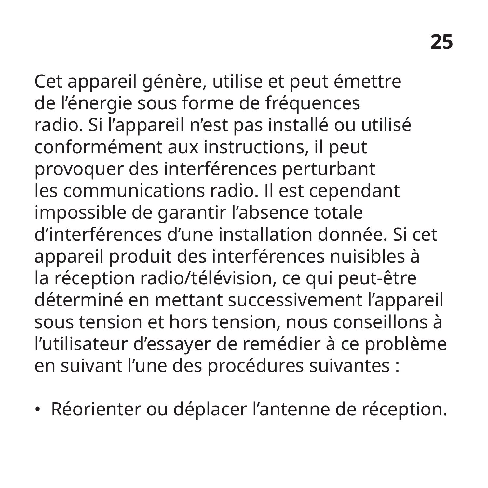Cet appareil génère, utilise et peut émettre de l'énergie sous forme de fréquences radio. Si l'appareil n'est pas installé ou utilisé conformément aux instructions, il peut provoquer des interférences perturbant les communications radio. Il est cependant impossible de garantir l'absence totale d'interférences d'une installation donnée. Si cet appareil produit des interférences nuisibles à la réception radio/télévision, ce qui peut-être déterminé en mettant successivement l'appareil sous tension et hors tension, nous conseillons à l'utilisateur d'essayer de remédier à ce problème en suivant l'une des procédures suivantes :

• Réorienter ou déplacer l'antenne de réception.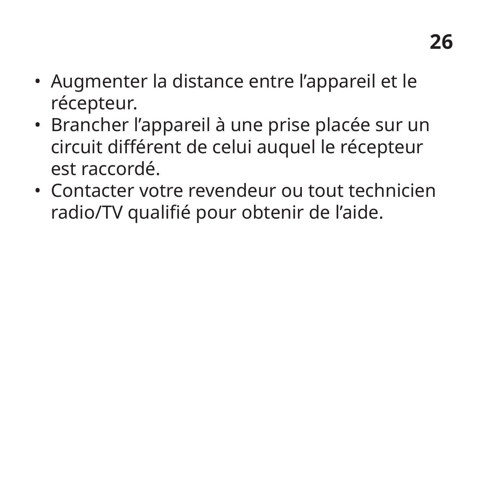- Augmenter la distance entre l'appareil et le récepteur.
- Brancher l'appareil à une prise placée sur un circuit différent de celui auquel le récepteur est raccordé.
- Contacter votre revendeur ou tout technicien radio/TV qualifié pour obtenir de l'aide.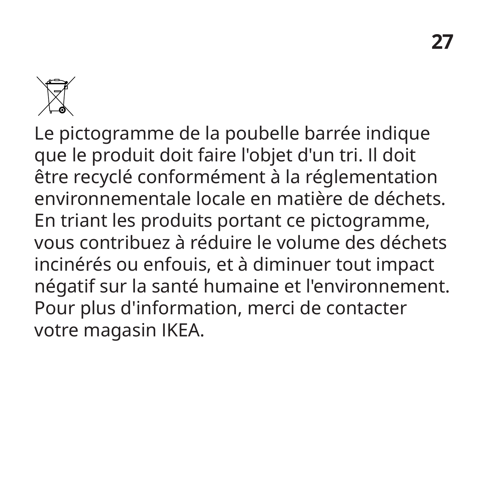

Le pictogramme de la poubelle barrée indique que le produit doit faire l'objet d'un tri. Il doit être recyclé conformément à la réglementation environnementale locale en matière de déchets. En triant les produits portant ce pictogramme, vous contribuez à réduire le volume des déchets incinérés ou enfouis, et à diminuer tout impact négatif sur la santé humaine et l'environnement. Pour plus d'information, merci de contacter votre magasin IKEA.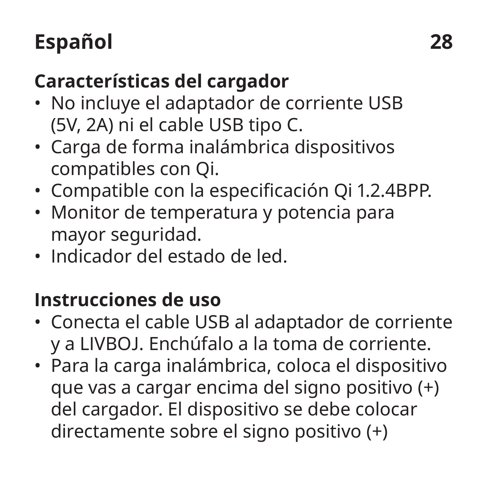### **Español 28**

#### **Características del cargador**

- No incluye el adaptador de corriente USB (5V, 2A) ni el cable USB tipo C.
- Carga de forma inalámbrica dispositivos compatibles con Qi.
- Compatible con la especificación Qi 1.2.4BPP.
- Monitor de temperatura y potencia para mayor seguridad.
- Indicador del estado de led.

#### **Instrucciones de uso**

- Conecta el cable USB al adaptador de corriente y a LIVBOJ. Enchúfalo a la toma de corriente.
- Para la carga inalámbrica, coloca el dispositivo que vas a cargar encima del signo positivo (+) del cargador. El dispositivo se debe colocar directamente sobre el signo positivo (+)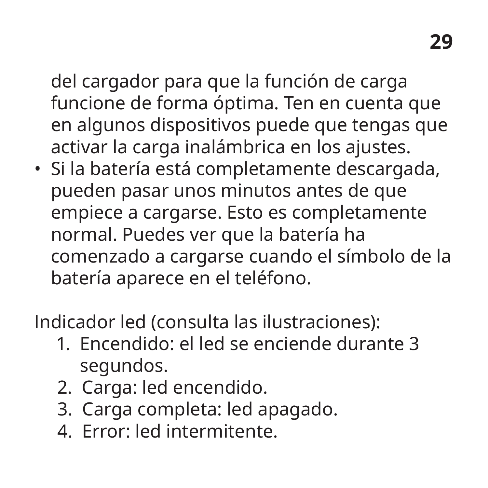del cargador para que la función de carga funcione de forma óptima. Ten en cuenta que en algunos dispositivos puede que tengas que activar la carga inalámbrica en los ajustes.

• Si la batería está completamente descargada, pueden pasar unos minutos antes de que empiece a cargarse. Esto es completamente normal. Puedes ver que la batería ha comenzado a cargarse cuando el símbolo de la batería aparece en el teléfono.

Indicador led (consulta las ilustraciones):

- 1. Encendido: el led se enciende durante 3 segundos.
- 2. Carga: led encendido.
- 3. Carga completa: led apagado.
- 4. Error: led intermitente.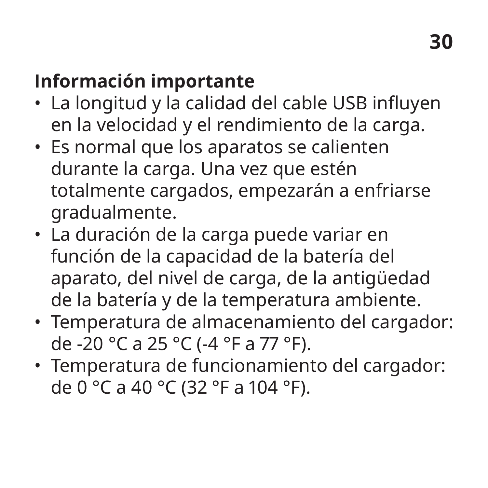#### **Información importante**

- La longitud y la calidad del cable USB influyen en la velocidad y el rendimiento de la carga.
- Es normal que los aparatos se calienten durante la carga. Una vez que estén totalmente cargados, empezarán a enfriarse gradualmente.
- La duración de la carga puede variar en función de la capacidad de la batería del aparato, del nivel de carga, de la antigüedad de la batería y de la temperatura ambiente.
- Temperatura de almacenamiento del cargador: de -20 °C a 25 °C (-4 °F a 77 °F).
- Temperatura de funcionamiento del cargador: de 0 °C a 40 °C (32 °F a 104 °F).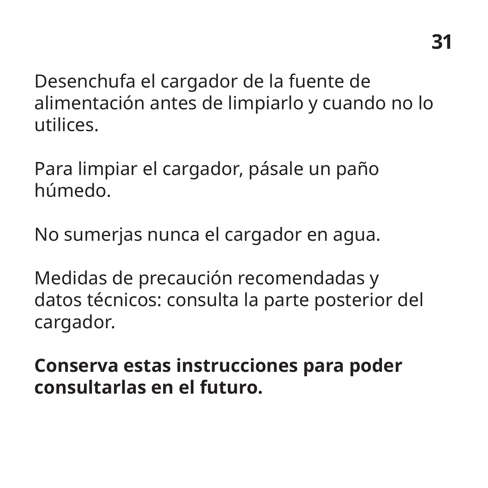Desenchufa el cargador de la fuente de alimentación antes de limpiarlo y cuando no lo utilices.

Para limpiar el cargador, pásale un paño húmedo.

No sumerjas nunca el cargador en agua.

Medidas de precaución recomendadas y datos técnicos: consulta la parte posterior del cargador.

**Conserva estas instrucciones para poder consultarlas en el futuro.**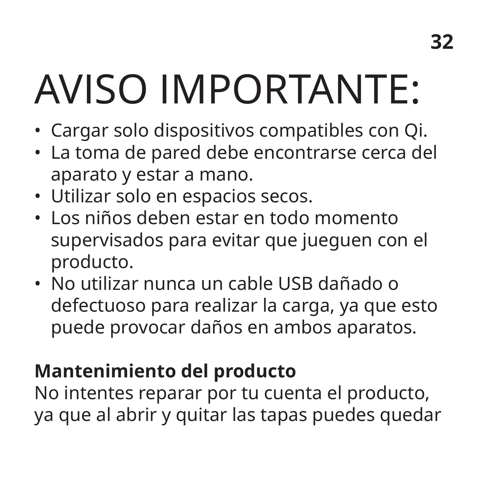## AVISO IMPORTANTE:

- Cargar solo dispositivos compatibles con Qi.
- La toma de pared debe encontrarse cerca del aparato y estar a mano.
- Utilizar solo en espacios secos.
- Los niños deben estar en todo momento supervisados para evitar que jueguen con el producto.
- No utilizar nunca un cable USB dañado o defectuoso para realizar la carga, ya que esto puede provocar daños en ambos aparatos.

#### **Mantenimiento del producto**

No intentes reparar por tu cuenta el producto, ya que al abrir y quitar las tapas puedes quedar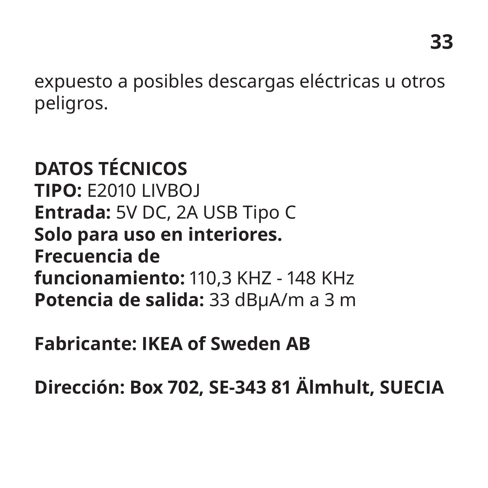expuesto a posibles descargas eléctricas u otros peligros.

**DATOS TÉCNICOS TIPO:** E2010 LIVBOJ **Entrada:** 5V DC, 2A USB Tipo C **Solo para uso en interiores. Frecuencia de funcionamiento:** 110,3 KHZ - 148 KHz **Potencia de salida:** 33 dBµA/m a 3 m

**Fabricante: IKEA of Sweden AB**

**Dirección: Box 702, SE-343 81 Älmhult, SUECIA**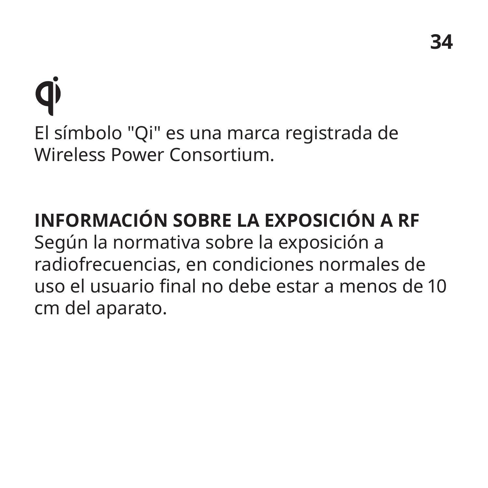## El símbolo "Qi" es una marca registrada de Wireless Power Consortium.

#### **INFORMACIÓN SOBRE LA EXPOSICIÓN A RF**

Según la normativa sobre la exposición a radiofrecuencias, en condiciones normales de uso el usuario final no debe estar a menos de 10 cm del aparato.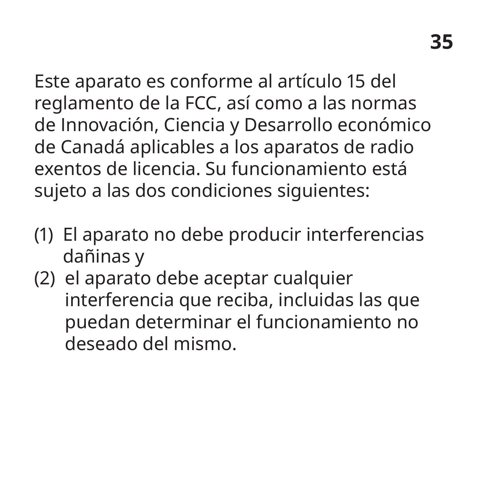Este aparato es conforme al artículo 15 del reglamento de la FCC, así como a las normas de Innovación, Ciencia y Desarrollo económico de Canadá aplicables a los aparatos de radio exentos de licencia. Su funcionamiento está sujeto a las dos condiciones siguientes:

- (1) El aparato no debe producir interferencias dañinas y
- (2) el aparato debe aceptar cualquier interferencia que reciba, incluidas las que puedan determinar el funcionamiento no deseado del mismo.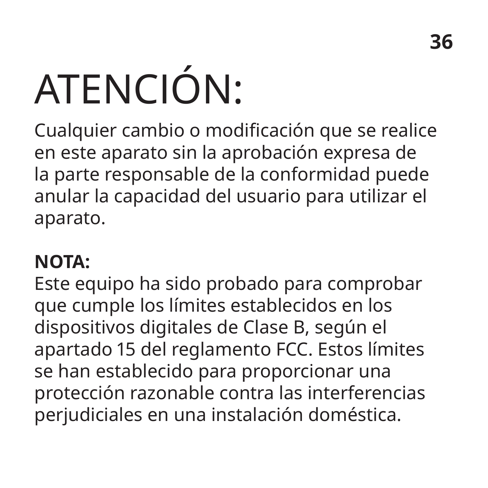# ATENCIÓN:

Cualquier cambio o modificación que se realice en este aparato sin la aprobación expresa de la parte responsable de la conformidad puede anular la capacidad del usuario para utilizar el aparato.

#### **NOTA:**

Este equipo ha sido probado para comprobar que cumple los límites establecidos en los dispositivos digitales de Clase B, según el apartado 15 del reglamento FCC. Estos límites se han establecido para proporcionar una protección razonable contra las interferencias perjudiciales en una instalación doméstica.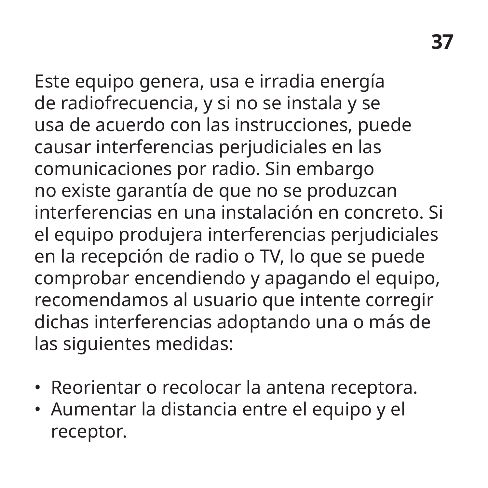Este equipo genera, usa e irradia energía de radiofrecuencia, y si no se instala y se usa de acuerdo con las instrucciones, puede causar interferencias perjudiciales en las comunicaciones por radio. Sin embargo no existe garantía de que no se produzcan interferencias en una instalación en concreto. Si el equipo produjera interferencias perjudiciales en la recepción de radio o TV, lo que se puede comprobar encendiendo y apagando el equipo, recomendamos al usuario que intente corregir dichas interferencias adoptando una o más de las siguientes medidas:

- Reorientar o recolocar la antena receptora.
- Aumentar la distancia entre el equipo y el receptor.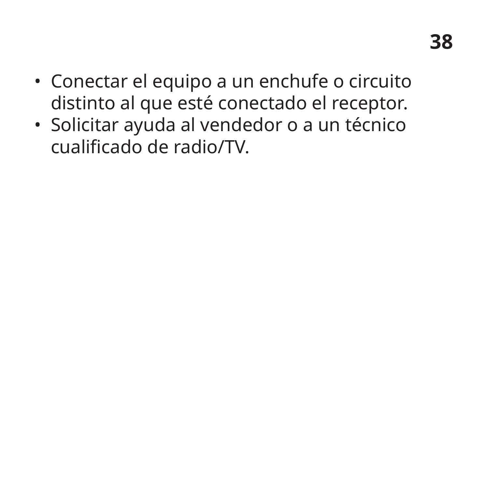- Conectar el equipo a un enchufe o circuito distinto al que esté conectado el receptor.
- Solicitar ayuda al vendedor o a un técnico cualificado de radio/TV.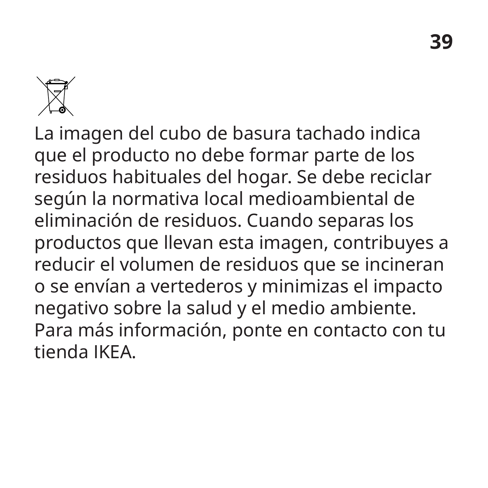La imagen del cubo de basura tachado indica que el producto no debe formar parte de los residuos habituales del hogar. Se debe reciclar según la normativa local medioambiental de eliminación de residuos. Cuando separas los productos que llevan esta imagen, contribuyes a reducir el volumen de residuos que se incineran o se envían a vertederos y minimizas el impacto negativo sobre la salud y el medio ambiente. Para más información, ponte en contacto con tu tienda IKEA.